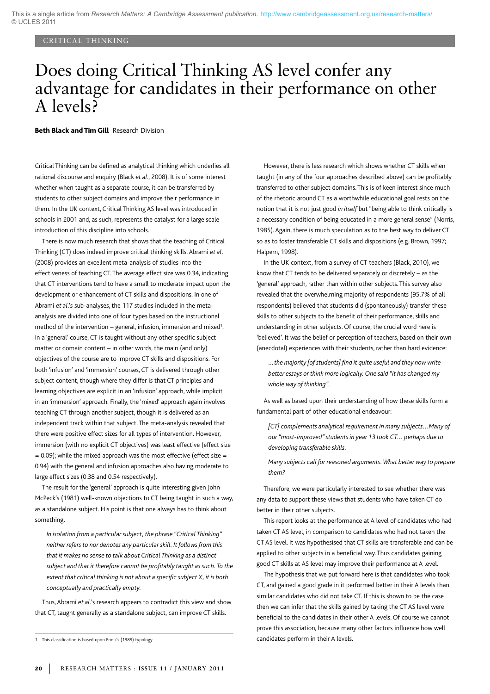### CRITICAL THINKING

# Does doing Critical Thinking AS level confer any advantage for candidates in their performance on other A levels?

**Beth Black and Tim Gill** Research Division

Critical Thinking can be defined as analytical thinking which underlies all rational discourse and enquiry (Black *et al*., 2008). It is of some interest whether when taught as a separate course, it can be transferred by students to other subject domains and improve their performance in them. In the UK context, Critical Thinking AS level was introduced in schools in 2001 and, as such, represents the catalyst for a large scale introduction of this discipline into schools.

There is now much research that shows that the teaching of Critical Thinking (CT) does indeed improve critical thinking skills. Abrami *et al*. (2008) provides an excellent meta-analysis of studies into the effectiveness of teaching CT. The average effect size was 0.34, indicating that CT interventions tend to have a small to moderate impact upon the development or enhancement of CT skills and dispositions. In one of Abrami *et al*.'s sub-analyses, the 117 studies included in the metaanalysis are divided into one of four types based on the instructional method of the intervention – general, infusion, immersion and mixed<sup>1</sup>. In a 'general' course, CT is taught without any other specific subject matter or domain content – in other words, the main (and only) objectives of the course are to improve CT skills and dispositions. For both 'infusion' and 'immersion' courses, CT is delivered through other subject content, though where they differ is that CT principles and learning objectives are explicit in an 'infusion' approach, while implicit in an 'immersion' approach. Finally, the 'mixed' approach again involves teaching CT through another subject, though it is delivered as an independent track within that subject. The meta-analysis revealed that there were positive effect sizes for all types of intervention. However, immersion (with no explicit CT objectives) was least effective (effect size  $= 0.09$ ); while the mixed approach was the most effective (effect size  $=$ 0.94) with the general and infusion approaches also having moderate to large effect sizes (0.38 and 0.54 respectively).

The result for the 'general' approach is quite interesting given John McPeck's (1981) well-known objections to CT being taught in such a way, as a standalone subject. His point is that one always has to think about something.

*In isolation from a particular subject, the phrase "Critical Thinking" neither refers to nor denotes any particular skill. It follows from this that it makes no sense to talk about Critical Thinking as a distinct subject and that it therefore cannot be profitably taught as such. To the extent that critical thinking is not about a specific subject X, it is both conceptually and practically empty.*

Thus, Abrami *et al*.'s research appears to contradict this view and show that CT, taught generally as a standalone subject, can improve CT skills.

However, there is less research which shows whether CT skills when taught (in any of the four approaches described above) can be profitably transferred to other subject domains. This is of keen interest since much of the rhetoric around CT as a worthwhile educational goal rests on the notion that it is not just good *in itself* but "being able to think critically is a necessary condition of being educated in a more general sense" (Norris, 1985). Again, there is much speculation as to the best way to deliver CT so as to foster transferable CT skills and dispositions (e.g. Brown, 1997; Halpern, 1998).

In the UK context, from a survey of CT teachers (Black, 2010), we know that CT tends to be delivered separately or discretely – as the 'general' approach, rather than within other subjects. This survey also revealed that the overwhelming majority of respondents (95.7% of all respondents) believed that students did (spontaneously) transfer these skills to other subjects to the benefit of their performance, skills and understanding in other subjects. Of course, the crucial word here is 'believed'. It was the belief or perception of teachers, based on their own (anecdotal) experiences with their students, rather than hard evidence:

*…the majority [of students] find it quite useful and they now write better essays or think more logically. One said "it has changed my whole way of thinking".*

As well as based upon their understanding of how these skills form a fundamental part of other educational endeavour:

*[CT] complements analytical requirement in many subjects…Many of our "most-improved" students in year 13 took CT… perhaps due to developing transferable skills.*

*Many subjects call for reasoned arguments. What better way to prepare them?*

Therefore, we were particularly interested to see whether there was any data to support these views that students who have taken CT do better in their other subjects.

This report looks at the performance at A level of candidates who had taken CT AS level, in comparison to candidates who had not taken the CT AS level. It was hypothesised that CT skills are transferable and can be applied to other subjects in a beneficial way. Thus candidates gaining good CT skills at AS level may improve their performance at A level.

The hypothesis that we put forward here is that candidates who took CT, and gained a good grade in it performed better in their A levels than similar candidates who did not take CT. If this is shown to be the case then we can infer that the skills gained by taking the CT AS level were beneficial to the candidates in their other A levels. Of course we cannot prove this association, because many other factors influence how well candidates perform in their A levels.

<sup>1.</sup> This classification is based upon Ennis's (1989) typology.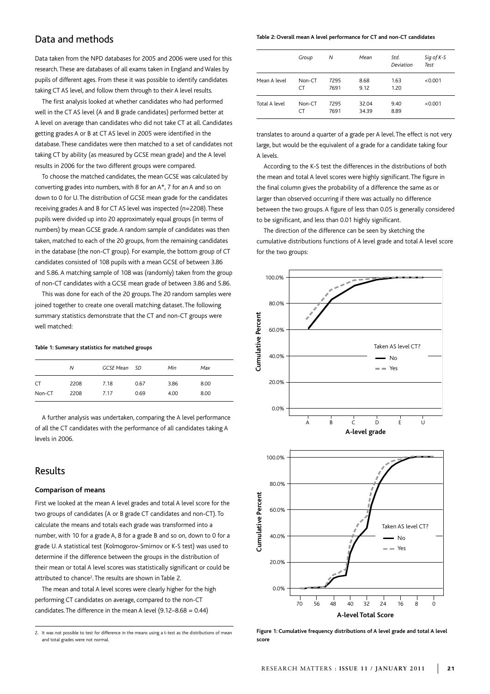# Data and methods

Data taken from the NPD databases for 2005 and 2006 were used for this research.These are databases of all exams taken in England and Wales by pupils of different ages. From these it was possible to identify candidates taking CT AS level, and follow them through to their A level results.

The first analysis looked at whether candidates who had performed well in the CT AS level (A and B grade candidates) performed better at A level on average than candidates who did not take CT at all. Candidates getting grades A or B at CT AS level in 2005 were identified in the database. These candidates were then matched to a set of candidates not taking CT by ability (as measured by GCSE mean grade) and the A level results in 2006 for the two different groups were compared.

To choose the matched candidates, the mean GCSE was calculated by converting grades into numbers, with 8 for an A\*, 7 for an A and so on down to 0 for U.The distribution of GCSE mean grade for the candidates receiving grades A and B for CT AS level was inspected (n=2208).These pupils were divided up into 20 approximately equal groups (in terms of numbers) by mean GCSE grade. A random sample of candidates was then taken, matched to each of the 20 groups, from the remaining candidates in the database (the non-CT group). For example, the bottom group of CT candidates consisted of 108 pupils with a mean GCSE of between 3.86 and 5.86. A matching sample of 108 was (randomly) taken from the group of non-CT candidates with a GCSE mean grade of between 3.86 and 5.86.

This was done for each of the 20 groups. The 20 random samples were joined together to create one overall matching dataset. The following summary statistics demonstrate that the CT and non-CT groups were well matched:

## **Table 1: Summary statistics for matched groups**

|           | Ν    | GCSE Mean SD |      | Min  | Max  |
|-----------|------|--------------|------|------|------|
| <b>CT</b> | 2208 | 7.18         | 0.67 | 3.86 | 8.00 |
| Non-CT    | 2208 | 7.17         | 0.69 | 4.00 | 8.00 |

A further analysis was undertaken, comparing the A level performance of all the CT candidates with the performance of all candidates taking A levels in 2006.

# Results

#### **Comparison of means**

First we looked at the mean A level grades and total A level score for the two groups of candidates (A or B grade CT candidates and non-CT). To calculate the means and totals each grade was transformed into a number, with 10 for a grade A, 8 for a grade B and so on, down to 0 for a grade U. A statistical test (Kolmogorov-Smirnov or K-S test) was used to determine if the difference between the groups in the distribution of their mean or total A level scores was statistically significant or could be attributed to chance<sup>2</sup>. The results are shown in Table 2.

The mean and total A level scores were clearly higher for the high performing CT candidates on average, compared to the non-CT candidates.The difference in the mean A level (9.12–8.68 = 0.44)

2. It was not possible to test for difference in the means using a t-test as the distributions of mean and total grades were not normal.

#### **Table 2: Overall mean A level performance for CT and non-CT candidates**

|               | Group               | Ν            | Mean           | Std.<br>Deviation | Sig of K-S<br>Test |
|---------------|---------------------|--------------|----------------|-------------------|--------------------|
| Mean A level  | Non-CT<br><b>CT</b> | 7295<br>7691 | 8.68<br>9.12   | 1.63<br>1.20      | < 0.001            |
| Total A level | Non-CT<br><b>CT</b> | 7295<br>7691 | 32.04<br>34.39 | 9.40<br>8.89      | < 0.001            |

translates to around a quarter of a grade per A level.The effect is not very large, but would be the equivalent of a grade for a candidate taking four A levels.

According to the K-S test the differences in the distributions of both the mean and total A level scores were highly significant. The figure in the final column gives the probability of a difference the same as or larger than observed occurring if there was actually no difference between the two groups. A figure of less than 0.05 is generally considered to be significant, and less than 0.01 highly significant.

The direction of the difference can be seen by sketching the cumulative distributions functions of A level grade and total A level score for the two groups:





70 56 48 40 32 24 16 8 0

Yes No Taken AS level CT?

40.0%

20.0%

0.0%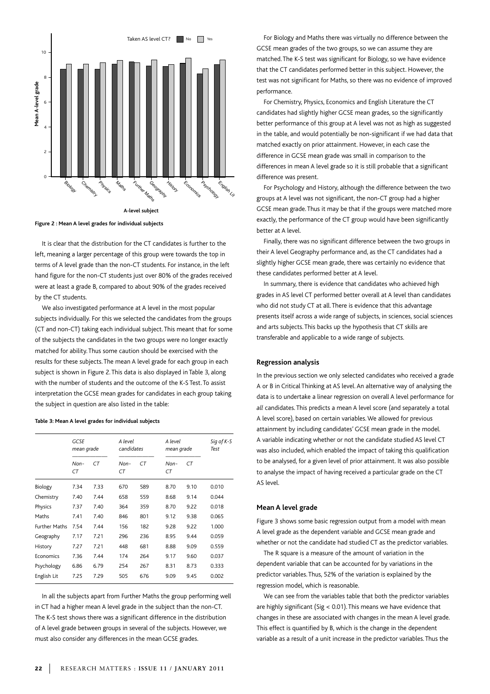

**Figure 2 : Mean A level grades for individual subjects**

It is clear that the distribution for the CT candidates is further to the left, meaning a larger percentage of this group were towards the top in terms of A level grade than the non-CT students. For instance, in the left hand figure for the non-CT students just over 80% of the grades received were at least a grade B, compared to about 90% of the grades received by the CT students.

We also investigated performance at A level in the most popular subjects individually. For this we selected the candidates from the groups (CT and non-CT) taking each individual subject. This meant that for some of the subjects the candidates in the two groups were no longer exactly matched for ability. Thus some caution should be exercised with the results for these subjects. The mean A level grade for each group in each subject is shown in Figure 2. This data is also displayed in Table 3, along with the number of students and the outcome of the K-S Test. To assist interpretation the GCSE mean grades for candidates in each group taking the subject in question are also listed in the table:

#### **Table 3: Mean A level grades for individual subjects**

|                      | <b>GCSE</b><br>mean grade |      | A level<br>candidates |     | A level<br>mean grade |      | Sig of K-S<br>Test |
|----------------------|---------------------------|------|-----------------------|-----|-----------------------|------|--------------------|
|                      | Non-<br>СT                | CT   | Non-<br>СT            | CT  | Non-<br>СT            | CT   |                    |
| Biology              | 7.34                      | 7.33 | 670                   | 589 | 8.70                  | 9.10 | 0.010              |
| Chemistry            | 7.40                      | 7.44 | 658                   | 559 | 8.68                  | 9.14 | 0.044              |
| Physics              | 7.37                      | 7.40 | 364                   | 359 | 8.70                  | 9.22 | 0.018              |
| Maths                | 7.41                      | 7.40 | 846                   | 801 | 9.12                  | 9.38 | 0.065              |
| <b>Further Maths</b> | 7.54                      | 7.44 | 156                   | 182 | 9.28                  | 9.22 | 1.000              |
| Geography            | 7.17                      | 7.21 | 296                   | 236 | 8.95                  | 9.44 | 0.059              |
| History              | 7.27                      | 7.21 | 448                   | 681 | 8.88                  | 9.09 | 0.559              |
| Economics            | 7.36                      | 7.44 | 174                   | 264 | 9.17                  | 9.60 | 0.037              |
| Psychology           | 6.86                      | 6.79 | 254                   | 267 | 8.31                  | 8.73 | 0.333              |
| English Lit          | 7.25                      | 7.29 | 505                   | 676 | 9.09                  | 9.45 | 0.002              |
|                      |                           |      |                       |     |                       |      |                    |

In all the subjects apart from Further Maths the group performing well in CT had a higher mean A level grade in the subject than the non-CT. The K-S test shows there was a significant difference in the distribution of A level grade between groups in several of the subjects. However, we

For Biology and Maths there was virtually no difference between the GCSE mean grades of the two groups, so we can assume they are matched. The K-S test was significant for Biology, so we have evidence that the CT candidates performed better in this subject. However, the test was not significant for Maths, so there was no evidence of improved performance.

For Chemistry, Physics, Economics and English Literature the CT candidates had slightly higher GCSE mean grades, so the significantly better performance of this group at A level was not as high as suggested in the table, and would potentially be non-significant if we had data that matched exactly on prior attainment. However, in each case the difference in GCSE mean grade was small in comparison to the differences in mean A level grade so it is still probable that a significant difference was present.

For Psychology and History, although the difference between the two groups at A level was not significant, the non-CT group had a higher GCSE mean grade. Thus it may be that if the groups were matched more exactly, the performance of the CT group would have been significantly better at A level.

Finally, there was no significant difference between the two groups in their A level Geography performance and, as the CT candidates had a slightly higher GCSE mean grade, there was certainly no evidence that these candidates performed better at A level.

In summary, there is evidence that candidates who achieved high grades in AS level CT performed better overall at A level than candidates who did not study CT at all. There is evidence that this advantage presents itself across a wide range of subjects, in sciences, social sciences and arts subjects. This backs up the hypothesis that CT skills are transferable and applicable to a wide range of subjects.

#### **Regression analysis**

In the previous section we only selected candidates who received a grade A or B in Critical Thinking at AS level. An alternative way of analysing the data is to undertake a linear regression on overall A level performance for *all* candidates. This predicts a mean A level score (and separately a total A level score), based on certain variables. We allowed for previous attainment by including candidates' GCSE mean grade in the model. A variable indicating whether or not the candidate studied AS level CT was also included, which enabled the impact of taking this qualification to be analysed, for a given level of prior attainment. It was also possible to analyse the impact of having received a particular grade on the CT AS level.

#### **Mean A level grade**

Figure 3 shows some basic regression output from a model with mean A level grade as the dependent variable and GCSE mean grade and whether or not the candidate had studied CT as the predictor variables.

The R square is a measure of the amount of variation in the dependent variable that can be accounted for by variations in the predictor variables. Thus, 52% of the variation is explained by the regression model, which is reasonable.

We can see from the variables table that both the predictor variables are highly significant (Sig < 0.01). This means we have evidence that changes in these are associated with changes in the mean A level grade. This effect is quantified by B, which is the change in the dependent variable as a result of a unit increase in the predictor variables. Thus the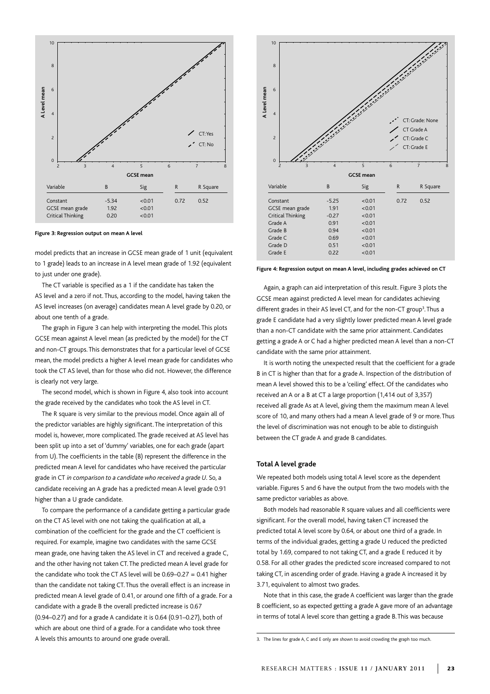

**Figure 3: Regression output on mean A level**

model predicts that an increase in GCSE mean grade of 1 unit (equivalent to 1 grade) leads to an increase in A level mean grade of 1.92 (equivalent to just under one grade).

The CT variable is specified as a 1 if the candidate has taken the AS level and a zero if not. Thus, according to the model, having taken the AS level increases (on average) candidates mean A level grade by 0.20, or about one tenth of a grade.

The graph in Figure 3 can help with interpreting the model. This plots GCSE mean against A level mean (as predicted by the model) for the CT and non-CT groups. This demonstrates that for a particular level of GCSE mean, the model predicts a higher A level mean grade for candidates who took the CT AS level, than for those who did not. However, the difference is clearly not very large.

The second model, which is shown in Figure 4, also took into account the grade received by the candidates who took the AS level in CT.

The R square is very similar to the previous model. Once again all of the predictor variables are highly significant. The interpretation of this model is, however, more complicated. The grade received at AS level has been split up into a set of 'dummy' variables, one for each grade (apart from U). The coefficients in the table (B) represent the difference in the predicted mean A level for candidates who have received the particular grade in CT *in comparison to a candidate who received a grade U*. So, a candidate receiving an A grade has a predicted mean A level grade 0.91 higher than a U grade candidate.

To compare the performance of a candidate getting a particular grade on the CT AS level with one not taking the qualification at all, a combination of the coefficient for the grade and the CT coefficient is required. For example, imagine two candidates with the same GCSE mean grade, one having taken the AS level in CT and received a grade C, and the other having not taken CT. The predicted mean A level grade for the candidate who took the CT AS level will be 0.69–0.27 = 0.41 higher than the candidate not taking CT. Thus the overall effect is an increase in predicted mean A level grade of 0.41, or around one fifth of a grade. For a candidate with a grade B the overall predicted increase is 0.67 (0.94–0.27) and for a grade A candidate it is 0.64 (0.91–0.27), both of which are about one third of a grade. For a candidate who took three A levels this amounts to around one grade overall.



**Figure 4: Regression output on mean A level, including grades achieved on CT**

Again, a graph can aid interpretation of this result. Figure 3 plots the GCSE mean against predicted A level mean for candidates achieving different grades in their AS level CT, and for the non-CT group<sup>3</sup>. Thus a grade E candidate had a very slightly lower predicted mean A level grade than a non-CT candidate with the same prior attainment. Candidates getting a grade A or C had a higher predicted mean A level than a non-CT candidate with the same prior attainment.

It is worth noting the unexpected result that the coefficient for a grade B in CT is higher than that for a grade A. Inspection of the distribution of mean A level showed this to be a 'ceiling' effect. Of the candidates who received an A or a B at CT a large proportion (1,414 out of 3,357) received all grade As at A level, giving them the maximum mean A level score of 10, and many others had a mean A level grade of 9 or more. Thus the level of discrimination was not enough to be able to distinguish between the CT grade A and grade B candidates.

#### **Total A level grade**

We repeated both models using total A level score as the dependent variable. Figures 5 and 6 have the output from the two models with the same predictor variables as above.

Both models had reasonable R square values and all coefficients were significant. For the overall model, having taken CT increased the predicted total A level score by 0.64, or about one third of a grade. In terms of the individual grades, getting a grade U reduced the predicted total by 1.69, compared to not taking CT, and a grade E reduced it by 0.58. For all other grades the predicted score increased compared to not taking CT, in ascending order of grade. Having a grade A increased it by 3.71, equivalent to almost two grades.

Note that in this case, the grade A coefficient was larger than the grade B coefficient, so as expected getting a grade A gave more of an advantage in terms of total A level score than getting a grade B.This was because

<sup>3.</sup> The lines for grade A, C and E only are shown to avoid crowding the graph too much.